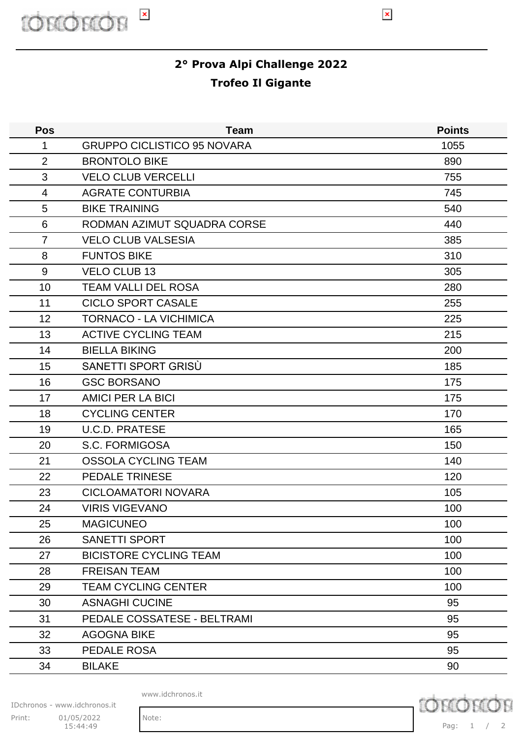

## **2° Prova Alpi Challenge 2022 Trofeo Il Gigante**

| <b>Pos</b>     | <b>Team</b>                        | <b>Points</b> |
|----------------|------------------------------------|---------------|
| 1              | <b>GRUPPO CICLISTICO 95 NOVARA</b> | 1055          |
| $\overline{2}$ | <b>BRONTOLO BIKE</b>               | 890           |
| 3              | <b>VELO CLUB VERCELLI</b>          | 755           |
| 4              | <b>AGRATE CONTURBIA</b>            | 745           |
| 5              | <b>BIKE TRAINING</b>               | 540           |
| 6              | RODMAN AZIMUT SQUADRA CORSE        | 440           |
| $\overline{7}$ | <b>VELO CLUB VALSESIA</b>          | 385           |
| 8              | <b>FUNTOS BIKE</b>                 | 310           |
| 9              | <b>VELO CLUB 13</b>                | 305           |
| 10             | <b>TEAM VALLI DEL ROSA</b>         | 280           |
| 11             | <b>CICLO SPORT CASALE</b>          | 255           |
| 12             | <b>TORNACO - LA VICHIMICA</b>      | 225           |
| 13             | <b>ACTIVE CYCLING TEAM</b>         | 215           |
| 14             | <b>BIELLA BIKING</b>               | 200           |
| 15             | SANETTI SPORT GRISÙ                | 185           |
| 16             | <b>GSC BORSANO</b>                 | 175           |
| 17             | <b>AMICI PER LA BICI</b>           | 175           |
| 18             | <b>CYCLING CENTER</b>              | 170           |
| 19             | <b>U.C.D. PRATESE</b>              | 165           |
| 20             | S.C. FORMIGOSA                     | 150           |
| 21             | <b>OSSOLA CYCLING TEAM</b>         | 140           |
| 22             | <b>PEDALE TRINESE</b>              | 120           |
| 23             | <b>CICLOAMATORI NOVARA</b>         | 105           |
| 24             | <b>VIRIS VIGEVANO</b>              | 100           |
| 25             | <b>MAGICUNEO</b>                   | 100           |
| 26             | <b>SANETTI SPORT</b>               | 100           |
| 27             | <b>BICISTORE CYCLING TEAM</b>      | 100           |
| 28             | <b>FREISAN TEAM</b>                | 100           |
| 29             | <b>TEAM CYCLING CENTER</b>         | 100           |
| 30             | <b>ASNAGHI CUCINE</b>              | 95            |
| 31             | PEDALE COSSATESE - BELTRAMI        | 95            |
| 32             | <b>AGOGNA BIKE</b>                 | 95            |
| 33             | PEDALE ROSA                        | 95            |
| 34             | <b>BILAKE</b>                      | 90            |
|                |                                    |               |

www.idchronos.it

IDchronos - www.idchronos.it Print: 01/05/2022 Note: 15:44:49

**D** chron

Pag: 1 / 2

 $\pmb{\times}$